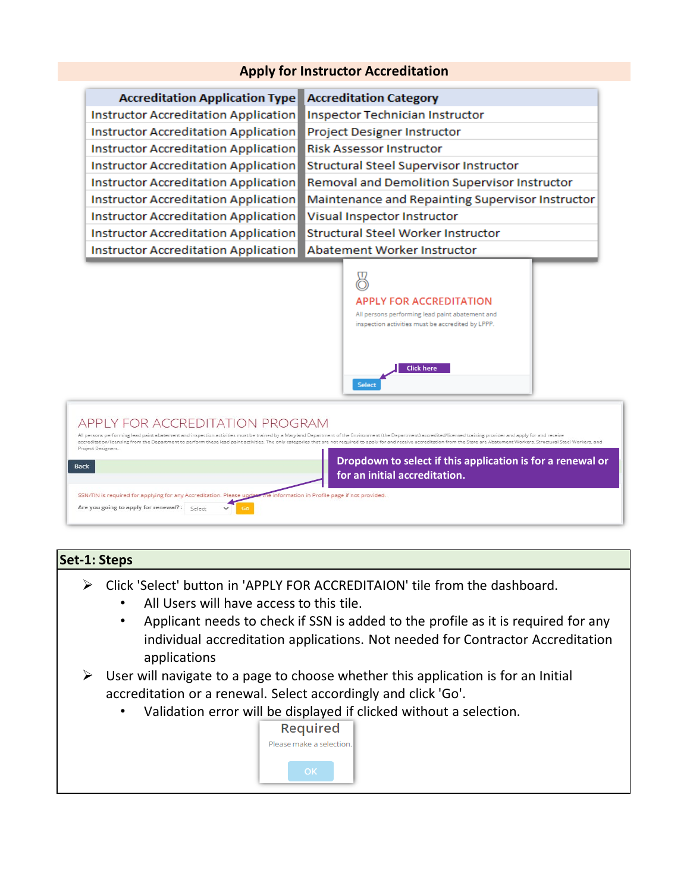# **Apply for Instructor Accreditation**

| <b>Accreditation Application Type</b> | <b>Accreditation Category</b>                    |
|---------------------------------------|--------------------------------------------------|
| Instructor Accreditation Application  | Inspector Technician Instructor                  |
| Instructor Accreditation Application  | Project Designer Instructor                      |
| Instructor Accreditation Application  | <b>Risk Assessor Instructor</b>                  |
| Instructor Accreditation Application  | <b>Structural Steel Supervisor Instructor</b>    |
| Instructor Accreditation Application  | Removal and Demolition Supervisor Instructor     |
| Instructor Accreditation Application  | Maintenance and Repainting Supervisor Instructor |
| Instructor Accreditation Application  | Visual Inspector Instructor                      |
| Instructor Accreditation Application  | <b>Structural Steel Worker Instructor</b>        |
| Instructor Accreditation Application  | Abatement Worker Instructor                      |



#### APPLY FOR ACCREDITATION PROGRAM All persons performing lead paint abatement and inspection activities must be trained by a Maryland Department of the Environment (the Department) accredited/licensed training provider and apply for and receive accreditation/licensing from the Department to perform these lead paint artivities. The only categories that are not required to apply for and receive accreditation from the State are Abatement Workers. Structural Steel Wo Project Designers. **Dropdown to select if this application is for a renewal or**  Back **for an initial accreditation.** le information in Profile page if not provided. SSN/TIN is required for applying for any Accreditation. Please Are you going to apply for renewal? : Select Go

## **Set-1: Steps**

- Click 'Select' button in 'APPLY FOR ACCREDITAION' tile from the dashboard.
	- All Users will have access to this tile.
	- Applicant needs to check if SSN is added to the profile as it is required for any individual accreditation applications. Not needed for Contractor Accreditation applications
- $\triangleright$  User will navigate to a page to choose whether this application is for an Initial accreditation or a renewal. Select accordingly and click 'Go'.
	- Validation error will be displayed if clicked without a selection.

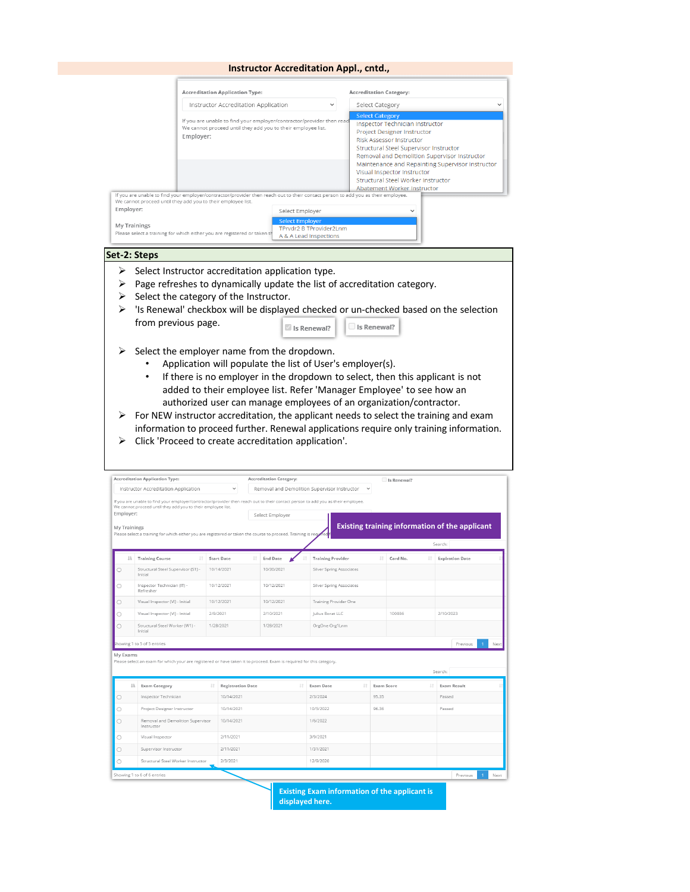#### **Instructor Accreditation Appl., cntd.,**

| Instructor Accreditation Application<br>If you are unable to find your employer/contractor/provider then reac<br>We cannot proceed until they add you to their employee list.<br>Emplover:       | Select Category<br>$\check{ }$<br><b>Select Category</b><br>Inspector Technician Instructor<br>Project Designer Instructor<br><b>Risk Assessor Instructor</b><br>Structural Steel Supervisor Instructor<br>Removal and Demolition Supervisor Instructor<br>Maintenance and Repainting Supervisor Instructor<br>Visual Inspector Instructor<br>Structural Steel Worker Instructor<br>Abatement Worker Instructor |
|--------------------------------------------------------------------------------------------------------------------------------------------------------------------------------------------------|-----------------------------------------------------------------------------------------------------------------------------------------------------------------------------------------------------------------------------------------------------------------------------------------------------------------------------------------------------------------------------------------------------------------|
|                                                                                                                                                                                                  |                                                                                                                                                                                                                                                                                                                                                                                                                 |
|                                                                                                                                                                                                  |                                                                                                                                                                                                                                                                                                                                                                                                                 |
|                                                                                                                                                                                                  |                                                                                                                                                                                                                                                                                                                                                                                                                 |
| If you are unable to find your employer/contractor/provider then reach out to their contact person to add you as their employee.<br>We cannot proceed until they add you to their employee list. |                                                                                                                                                                                                                                                                                                                                                                                                                 |
| Employer:<br>Select Emplover                                                                                                                                                                     |                                                                                                                                                                                                                                                                                                                                                                                                                 |
| <b>Select Employer</b><br>My Trainings<br>TPrvdr2 B TProvider2Lnm<br>Please select a training for which either you are registered or taken th<br>A & A Lead Inspections                          |                                                                                                                                                                                                                                                                                                                                                                                                                 |
| Set-2: Steps                                                                                                                                                                                     |                                                                                                                                                                                                                                                                                                                                                                                                                 |

- $\triangleright$  Select the category of the Instructor.
- > 'Is Renewal' checkbox will be displayed checked or un-checked based on the selection from previous page. Is Renewal? Is Renewal?
- $\triangleright$  Select the employer name from the dropdown.
	- Application will populate the list of User's employer(s).
	- If there is no employer in the dropdown to select, then this applicant is not added to their employee list. Refer 'Manager Employee' to see how an authorized user can manage employees of an organization/contractor.
- $\triangleright$  For NEW instructor accreditation, the applicant needs to select the training and exam information to proceed further. Renewal applications require only training information.
- > Click 'Proceed to create accreditation application'.

|                         | <b>Accreditation Application Type:</b>                                                                                                                                                           |          |                          |    | <b>Accreditation Category:</b> |    |                                              |                   | Is Renewal? |     |                                                |             |
|-------------------------|--------------------------------------------------------------------------------------------------------------------------------------------------------------------------------------------------|----------|--------------------------|----|--------------------------------|----|----------------------------------------------|-------------------|-------------|-----|------------------------------------------------|-------------|
|                         | Instructor Accreditation Application                                                                                                                                                             |          | $\checkmark$             |    |                                |    | Removal and Demolition Supervisor Instructor |                   |             |     |                                                |             |
|                         | If you are unable to find your employer/contractor/provider then reach out to their contact person to add you as their employee.<br>We cannot proceed until they add you to their employee list. |          |                          |    |                                |    |                                              |                   |             |     |                                                |             |
| Employer:               |                                                                                                                                                                                                  |          |                          |    | Select Employer                |    |                                              |                   |             |     |                                                |             |
| My Trainings            | Please select a training for which either you are registered or taken the course to proceed. Training is required                                                                                |          |                          |    |                                |    |                                              |                   |             |     | Existing training information of the applicant |             |
|                         |                                                                                                                                                                                                  |          |                          |    |                                |    |                                              |                   |             |     | Search:                                        |             |
| Jä.                     | <b>Training Course</b><br>11                                                                                                                                                                     |          | <b>Start Date</b>        | JŤ | <b>End Date</b>                |    | <b>Training Provider</b>                     | 1Ť.               | Card No.    | J.T | <b>Expiration Date</b>                         |             |
|                         | Structural Steel Supervisor (S1) -<br>Initial                                                                                                                                                    |          | 10/14/2021               |    | 10/30/2021                     |    | Silver Spring Associates                     |                   |             |     |                                                |             |
| ∩                       | Inspector Technician (IT) -<br>Refresher                                                                                                                                                         |          | 10/12/2021               |    | 10/12/2021                     |    | Silver Spring Associates                     |                   |             |     |                                                |             |
| O                       | Visual Inspector (VI) - Initial                                                                                                                                                                  |          | 10/12/2021               |    | 10/12/2021                     |    | Training Provider One                        |                   |             |     |                                                |             |
| O                       | Visual Inspector (VI) - Initial                                                                                                                                                                  | 2/9/2021 |                          |    | 2/10/2021                      |    | Julius Borat LLC                             |                   | 100036      |     | 2/10/2023                                      |             |
| O                       | Structural Steel Worker (W1) -<br>Initial                                                                                                                                                        |          | 1/28/2021                |    | 1/28/2021                      |    | OrgOne Org1Lnm                               |                   |             |     |                                                |             |
|                         |                                                                                                                                                                                                  |          |                          |    |                                |    |                                              |                   |             |     |                                                |             |
|                         | Showing 1 to 5 of 5 entries                                                                                                                                                                      |          |                          |    |                                |    |                                              |                   |             |     | Previous                                       |             |
|                         | Please select an exam for which your are registered or have taken it to proceed. Exam is required for this category.                                                                             |          |                          |    |                                | 11 |                                              |                   |             |     | Search:                                        |             |
| li                      | <b>Exam Category</b>                                                                                                                                                                             |          | <b>Registration Date</b> |    |                                |    | <b>Exam Date</b>                             | <b>Exam Score</b> |             | Jî  | <b>Exam Result</b>                             |             |
|                         | Inspector Technician                                                                                                                                                                             |          | 10/14/2021               |    |                                |    | 2/3/2024                                     | 95.35             |             |     | Passed                                         |             |
| My Exams<br>O<br>∩<br>O | Project Designer Instructor<br>Removal and Demolition Supervisor<br>Instructor                                                                                                                   |          | 10/14/2021<br>10/14/2021 |    |                                |    | 10/5/2022<br>1/6/2022                        | 96.36             |             |     | Passed                                         |             |
|                         | Visual Inspector                                                                                                                                                                                 |          | 2/11/2021                |    |                                |    | 3/9/2021                                     |                   |             |     |                                                |             |
|                         | Supervisor Instructor                                                                                                                                                                            |          | 2/11/2021                |    |                                |    | 1/31/2021                                    |                   |             |     |                                                |             |
| O<br>O                  | Structural Steel Worker Instructor                                                                                                                                                               |          | 2/3/2021                 |    |                                |    | 12/9/2020                                    |                   |             |     |                                                |             |
|                         | Showing 1 to 6 of 6 entries                                                                                                                                                                      |          |                          |    |                                |    |                                              |                   |             |     | Previous<br>$\mathbf{1}$                       | Nex<br>Next |

**displayed here.**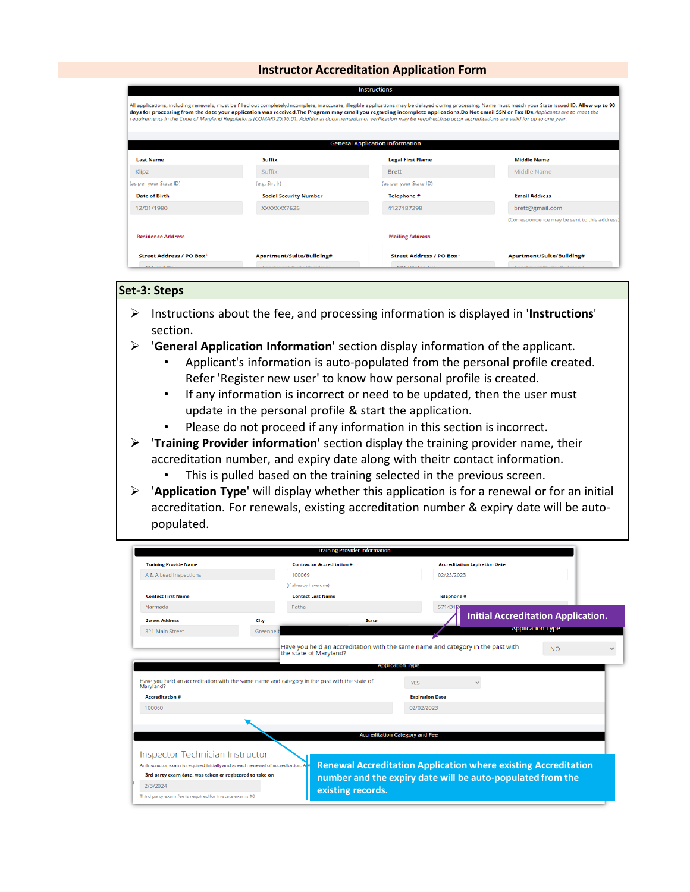### **Instructor Accreditation Application Form**

|                          |                               | <b>General Application Information</b> |                                              |
|--------------------------|-------------------------------|----------------------------------------|----------------------------------------------|
| <b>Last Name</b>         | <b>Suffix</b>                 | <b>Legal First Name</b>                | <b>Middle Name</b>                           |
| Klipz                    | Suffix                        | <b>Brett</b>                           | Middle Name                                  |
| (as per your State ID)   | (e.g. Sir, Jr)                | (as per your State ID)                 |                                              |
| <b>Date of Birth</b>     | <b>Social Security Number</b> | Telephone #                            | <b>Email Address</b>                         |
| 12/01/1980               | XXXXXX7625                    | 4127187298                             | brett@gmail.com                              |
|                          |                               |                                        | (Correspondence may be sent to this address) |
| <b>Residence Address</b> |                               | <b>Mailing Address</b>                 |                                              |

### **Set-3: Steps**

- Instructions about the fee, and processing information is displayed in '**Instructions**' section.
- '**General Application Information**' section display information of the applicant.
	- Applicant's information is auto-populated from the personal profile created. Refer 'Register new user' to know how personal profile is created.
	- If any information is incorrect or need to be updated, then the user must update in the personal profile & start the application.
	- Please do not proceed if any information in this section is incorrect.

 '**Training Provider information**' section display the training provider name, their accreditation number, and expiry date along with theitr contact information.

- This is pulled based on the training selected in the previous screen.
- '**Application Type**' will display whether this application is for a renewal or for an initial accreditation. For renewals, existing accreditation number & expiry date will be autopopulated.

| <b>Training Provide Name</b>                                                                                                                                                             |           | <b>Contractor Accreditation #</b>                                                                         |                                       | <b>Accreditation Expiration Date</b>      |                         |  |
|------------------------------------------------------------------------------------------------------------------------------------------------------------------------------------------|-----------|-----------------------------------------------------------------------------------------------------------|---------------------------------------|-------------------------------------------|-------------------------|--|
| A & A Lead Inspections                                                                                                                                                                   |           | 100069                                                                                                    | 02/23/2023                            |                                           |                         |  |
|                                                                                                                                                                                          |           | (if already have one)                                                                                     |                                       |                                           |                         |  |
| <b>Contact First Name</b>                                                                                                                                                                |           | <b>Contact Last Name</b>                                                                                  | Telephone #                           |                                           |                         |  |
| Narmada                                                                                                                                                                                  |           | Patha                                                                                                     | 571431P                               |                                           |                         |  |
| <b>Street Address</b>                                                                                                                                                                    | City      | <b>State</b>                                                                                              |                                       | <b>Initial Accreditation Application.</b> |                         |  |
| 321 Main Street                                                                                                                                                                          | Greenbelt |                                                                                                           |                                       |                                           | <b>Application Type</b> |  |
|                                                                                                                                                                                          |           | Have you held an accreditation with the same name and category in the past with<br>the state of Maryland? |                                       |                                           | <b>NO</b>               |  |
|                                                                                                                                                                                          |           |                                                                                                           | Application Type                      |                                           |                         |  |
|                                                                                                                                                                                          |           | Have you held an accreditation with the same name and category in the past with the state of              | <b>YES</b>                            |                                           |                         |  |
|                                                                                                                                                                                          |           |                                                                                                           | <b>Expiration Date</b>                |                                           |                         |  |
| Maryland?<br><b>Accreditation #</b><br>100060                                                                                                                                            |           |                                                                                                           | 02/02/2023                            |                                           |                         |  |
|                                                                                                                                                                                          |           |                                                                                                           | <b>Accreditation Category and Fee</b> |                                           |                         |  |
|                                                                                                                                                                                          |           |                                                                                                           |                                       |                                           |                         |  |
|                                                                                                                                                                                          |           | <b>Renewal Accreditation Application where existing Accreditation</b>                                     |                                       |                                           |                         |  |
|                                                                                                                                                                                          |           | number and the expiry date will be auto-populated from the                                                |                                       |                                           |                         |  |
| Inspector Technician Instructor<br>An Instructor exam is required initially and at each renewal of accreditation.<br>3rd party exam date, was taken or registered to take on<br>2/3/2024 |           | existing records.                                                                                         |                                       |                                           |                         |  |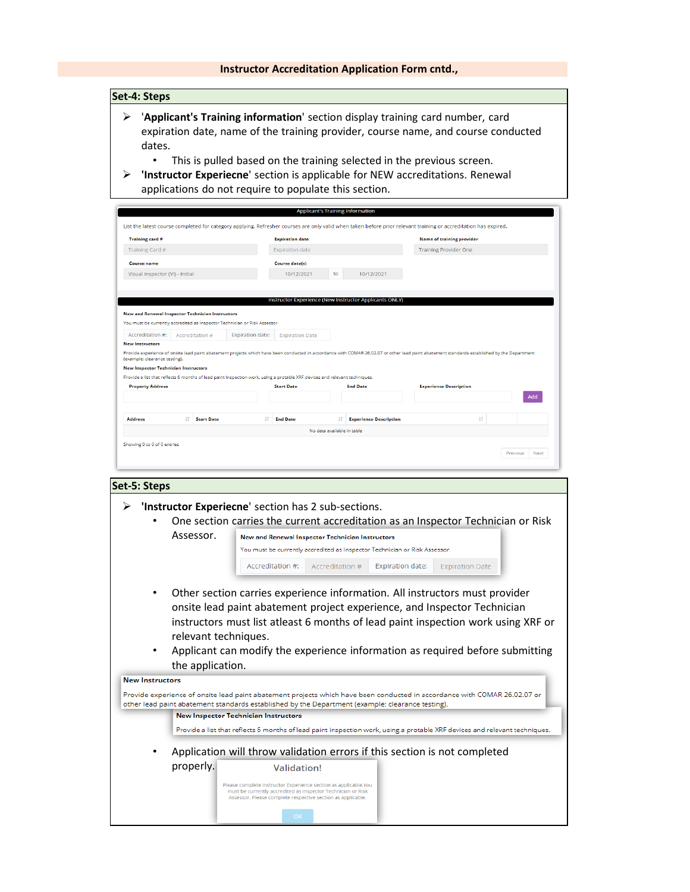### **Instructor Accreditation Application Form cntd.,**

### **Set-4: Steps**

- '**Applicant's Training information**' section display training card number, card expiration date, name of the training provider, course name, and course conducted dates.
	- This is pulled based on the training selected in the previous screen.
- **'Instructor Experiecne**' section is applicable for NEW accreditations. Renewal applications do not require to populate this section.

|                                                         |    |                   |                                                                            | <b>Expiration date</b>                                                                                                     |     |                                                        | <b>Name of training provider</b>                                                                                                                                                             |     |
|---------------------------------------------------------|----|-------------------|----------------------------------------------------------------------------|----------------------------------------------------------------------------------------------------------------------------|-----|--------------------------------------------------------|----------------------------------------------------------------------------------------------------------------------------------------------------------------------------------------------|-----|
| Training Card #                                         |    |                   |                                                                            | <b>Expiration date</b>                                                                                                     |     |                                                        | <b>Training Provider One</b>                                                                                                                                                                 |     |
| <b>Course name</b>                                      |    |                   |                                                                            | <b>Course date(s)</b>                                                                                                      |     |                                                        |                                                                                                                                                                                              |     |
| Visual Inspector (VI) - Initial                         |    |                   |                                                                            | 10/12/2021                                                                                                                 | to  | 10/12/2021                                             |                                                                                                                                                                                              |     |
| <b>New and Renewal Inspector Technician Instructors</b> |    |                   |                                                                            |                                                                                                                            |     | Instructor Experience (New Instructor Applicants ONLY) |                                                                                                                                                                                              |     |
|                                                         |    |                   | You must be currently accredited as Inspector Technician or Risk Assessor. |                                                                                                                            |     |                                                        |                                                                                                                                                                                              |     |
| Accreditation #:                                        |    | Accreditation #   | <b>Expiration date:</b>                                                    | <b>Expiration Date</b>                                                                                                     |     |                                                        |                                                                                                                                                                                              |     |
| <b>New Instructors</b>                                  |    |                   |                                                                            |                                                                                                                            |     |                                                        | Provide experience of onsite lead paint abatement projects which have been conducted in accordance with COMAR 26.02.07 or other lead paint abatement standards established by the Department |     |
| (example: clearance testing).                           |    |                   |                                                                            |                                                                                                                            |     |                                                        |                                                                                                                                                                                              |     |
| <b>New Inspector Technician Instructors</b>             |    |                   |                                                                            |                                                                                                                            |     |                                                        |                                                                                                                                                                                              |     |
|                                                         |    |                   |                                                                            | Provide a list that reflects 6 months of lead paint inspection work, using a protable XRF devices and relevant techniques. |     |                                                        |                                                                                                                                                                                              |     |
| <b>Property Address</b>                                 |    |                   |                                                                            | <b>Start Date</b>                                                                                                          |     | <b>End Date</b>                                        | <b>Experience Description</b>                                                                                                                                                                | Add |
|                                                         |    |                   |                                                                            | 1Ť<br><b>End Date</b>                                                                                                      | JT. | <b>Experience Description</b>                          | It.                                                                                                                                                                                          |     |
| <b>Address</b>                                          | 1t | <b>Start Date</b> |                                                                            |                                                                                                                            |     |                                                        |                                                                                                                                                                                              |     |

|                                  |                                          | One section carries the current accreditation as an Inspector Technician or Risk                                                                                                                                                                                                                                                                                                                                                                           |
|----------------------------------|------------------------------------------|------------------------------------------------------------------------------------------------------------------------------------------------------------------------------------------------------------------------------------------------------------------------------------------------------------------------------------------------------------------------------------------------------------------------------------------------------------|
|                                  | Assessor.                                | <b>New and Renewal Inspector Technician Instructors</b>                                                                                                                                                                                                                                                                                                                                                                                                    |
|                                  |                                          | You must be currently accredited as Inspector Technician or Risk Assessor.                                                                                                                                                                                                                                                                                                                                                                                 |
|                                  |                                          | Accreditation #:<br>Accreditation #<br><b>Expiration date:</b><br><b>Expiration Date</b>                                                                                                                                                                                                                                                                                                                                                                   |
| ٠<br>٠<br><b>New Instructors</b> | relevant techniques.<br>the application. | Other section carries experience information. All instructors must provider<br>onsite lead paint abatement project experience, and Inspector Technician<br>instructors must list atleast 6 months of lead paint inspection work using XRF or<br>Applicant can modify the experience information as required before submitting<br>Provide experience of onsite lead paint abatement projects which have been conducted in accordance with COMAR 26.02.07 or |
|                                  |                                          |                                                                                                                                                                                                                                                                                                                                                                                                                                                            |
|                                  |                                          | other lead paint abatement standards established by the Department (example: clearance testing).<br><b>New Inspector Technician Instructors</b>                                                                                                                                                                                                                                                                                                            |
|                                  |                                          | Provide a list that reflects 6 months of lead paint inspection work, using a protable XRF devices and relevant techniques.                                                                                                                                                                                                                                                                                                                                 |
|                                  |                                          | Application will throw validation errors if this section is not completed                                                                                                                                                                                                                                                                                                                                                                                  |
|                                  | properly.                                | <b>Validation!</b>                                                                                                                                                                                                                                                                                                                                                                                                                                         |
|                                  |                                          | Please complete Instructor Experience section as applicable.You<br>must be currently accredited as Inspector Technician or Risk<br>Assessor. Please complete respective section as applicable.                                                                                                                                                                                                                                                             |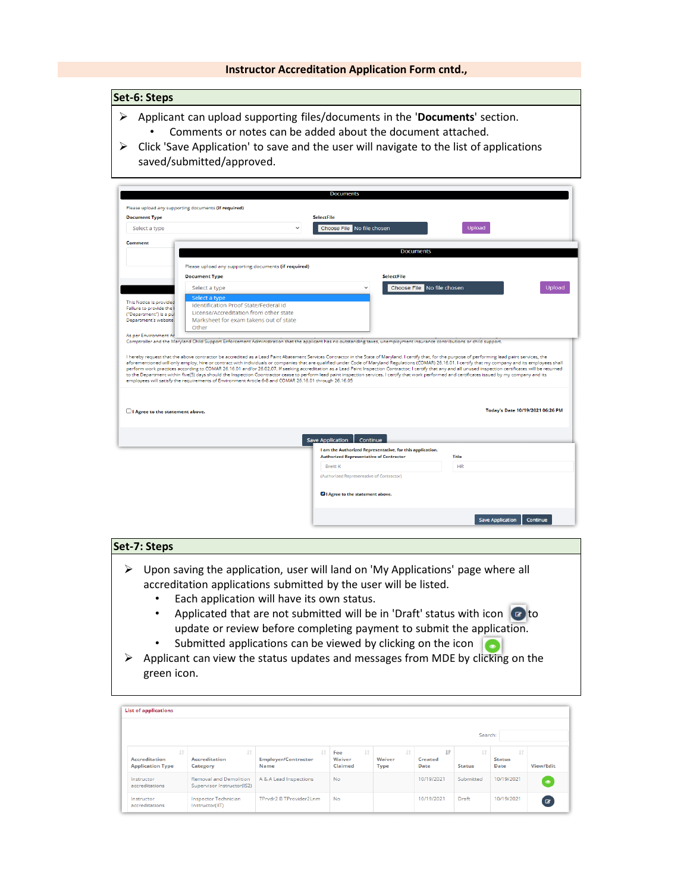### **Instructor Accreditation Application Form cntd.,**

### **Set-6: Steps**

- Applicant can upload supporting files/documents in the '**Documents**' section. • Comments or notes can be added about the document attached.
- $\triangleright$  Click 'Save Application' to save and the user will navigate to the list of applications saved/submitted/approved.

| Please upload any supporting documents (if required) |                                                                                                                                                                                                                                                                                                                                                                                                                                                                                                                                                                                                                                                                                                                                                                                                                     |                                                             |                                                           |           |                                  |
|------------------------------------------------------|---------------------------------------------------------------------------------------------------------------------------------------------------------------------------------------------------------------------------------------------------------------------------------------------------------------------------------------------------------------------------------------------------------------------------------------------------------------------------------------------------------------------------------------------------------------------------------------------------------------------------------------------------------------------------------------------------------------------------------------------------------------------------------------------------------------------|-------------------------------------------------------------|-----------------------------------------------------------|-----------|----------------------------------|
| <b>Document Type</b>                                 |                                                                                                                                                                                                                                                                                                                                                                                                                                                                                                                                                                                                                                                                                                                                                                                                                     | <b>SelectFile</b>                                           |                                                           |           |                                  |
| Select a type                                        |                                                                                                                                                                                                                                                                                                                                                                                                                                                                                                                                                                                                                                                                                                                                                                                                                     | Choose File No file chosen                                  |                                                           | Upload    |                                  |
| Comment                                              |                                                                                                                                                                                                                                                                                                                                                                                                                                                                                                                                                                                                                                                                                                                                                                                                                     |                                                             |                                                           |           |                                  |
|                                                      |                                                                                                                                                                                                                                                                                                                                                                                                                                                                                                                                                                                                                                                                                                                                                                                                                     |                                                             | <b>Documents</b>                                          |           |                                  |
|                                                      | Please upload any supporting documents (if required)                                                                                                                                                                                                                                                                                                                                                                                                                                                                                                                                                                                                                                                                                                                                                                |                                                             |                                                           |           |                                  |
|                                                      | <b>Document Type</b>                                                                                                                                                                                                                                                                                                                                                                                                                                                                                                                                                                                                                                                                                                                                                                                                |                                                             | <b>SelectFile</b>                                         |           |                                  |
|                                                      | Select a type                                                                                                                                                                                                                                                                                                                                                                                                                                                                                                                                                                                                                                                                                                                                                                                                       |                                                             | Choose File No file chosen<br>$\check{ }$                 |           | Upload                           |
|                                                      | Select a type                                                                                                                                                                                                                                                                                                                                                                                                                                                                                                                                                                                                                                                                                                                                                                                                       |                                                             |                                                           |           |                                  |
| This Notice is provided<br>Failure to provide the    | Identification Proof State/Federal Id                                                                                                                                                                                                                                                                                                                                                                                                                                                                                                                                                                                                                                                                                                                                                                               |                                                             |                                                           |           |                                  |
| ("Department") is a pu                               | License/Accreditation from other state                                                                                                                                                                                                                                                                                                                                                                                                                                                                                                                                                                                                                                                                                                                                                                              |                                                             |                                                           |           |                                  |
| Department's website                                 | Marksheet for exam takens out of state                                                                                                                                                                                                                                                                                                                                                                                                                                                                                                                                                                                                                                                                                                                                                                              |                                                             |                                                           |           |                                  |
|                                                      | Other                                                                                                                                                                                                                                                                                                                                                                                                                                                                                                                                                                                                                                                                                                                                                                                                               |                                                             |                                                           |           |                                  |
|                                                      |                                                                                                                                                                                                                                                                                                                                                                                                                                                                                                                                                                                                                                                                                                                                                                                                                     |                                                             |                                                           |           |                                  |
|                                                      | Comptroller and the Maryland Child Support Enforcement Administration that the applicant has no outstanding taxes, unemployment insurance contributions or child support.<br>I hereby request that the above contractor be accredited as a Lead Paint Abatement Services Contractor in the State of Maryland. I certify that, for the purpose of performing lead paint services, the<br>aforementioned will only employ, hire or contract with individuals or companies that are qualified under Code of Maryland Regulations (COMAR) 26.16.01. I certify that my company and its employees shall<br>perform work practices according to COMAR 26.16.01 and/or 26.02.07. If seeking accreditation as a Lead Paint Inspection Contractor; I certify that any and all unused inspection certificates will be returned |                                                             |                                                           |           |                                  |
| As per Environment Ar                                | to the Department within five(5) days should the Inspection Coontractor cease to perform lead paint inspection services. I certify that work performed and certificates issued by my company and its<br>employees will satisfy the requirements of Environment Article 6-8 and COMAR 26.16.01 through 26.16.05                                                                                                                                                                                                                                                                                                                                                                                                                                                                                                      |                                                             |                                                           |           |                                  |
| I Agree to the statement above.                      |                                                                                                                                                                                                                                                                                                                                                                                                                                                                                                                                                                                                                                                                                                                                                                                                                     |                                                             |                                                           |           | Today's Date 10/19/2021 06:26 PM |
|                                                      |                                                                                                                                                                                                                                                                                                                                                                                                                                                                                                                                                                                                                                                                                                                                                                                                                     |                                                             |                                                           |           |                                  |
|                                                      |                                                                                                                                                                                                                                                                                                                                                                                                                                                                                                                                                                                                                                                                                                                                                                                                                     | <b>Save Application</b>                                     | Continue                                                  |           |                                  |
|                                                      |                                                                                                                                                                                                                                                                                                                                                                                                                                                                                                                                                                                                                                                                                                                                                                                                                     |                                                             | I am the Authorized Representative, for this application. |           |                                  |
|                                                      |                                                                                                                                                                                                                                                                                                                                                                                                                                                                                                                                                                                                                                                                                                                                                                                                                     | <b>Authorized Representative of Contractor</b>              |                                                           | Title     |                                  |
|                                                      |                                                                                                                                                                                                                                                                                                                                                                                                                                                                                                                                                                                                                                                                                                                                                                                                                     | <b>Brett K</b><br>(Authorized Representative of Contractor) |                                                           | <b>HR</b> |                                  |
|                                                      |                                                                                                                                                                                                                                                                                                                                                                                                                                                                                                                                                                                                                                                                                                                                                                                                                     | 4 I Agree to the statement above.                           |                                                           |           |                                  |

### **Set-7: Steps**

- $\triangleright$  Upon saving the application, user will land on 'My Applications' page where all accreditation applications submitted by the user will be listed.
	- Each application will have its own status.
	- Applicated that are not submitted will be in 'Draft' status with icon  $\bullet$  to update or review before completing payment to submit the application.
	- Submitted applications can be viewed by clicking on the icon
- $\triangleright$  Applicant can view the status updates and messages from MDE by clicking on the green icon.

| <b>List of applications</b>                                     |                                                             |                                                 |                                              |                                  |                       |                            |                                    |              |
|-----------------------------------------------------------------|-------------------------------------------------------------|-------------------------------------------------|----------------------------------------------|----------------------------------|-----------------------|----------------------------|------------------------------------|--------------|
|                                                                 |                                                             |                                                 |                                              |                                  |                       | Search:                    |                                    |              |
| $\downarrow$<br><b>Accreditation</b><br><b>Application Type</b> | <b>It</b><br><b>Accreditation</b><br>Category               | ĿŤ<br><b>Employer/Contractor</b><br><b>Name</b> | $\perp \uparrow$<br>Fee<br>Waiver<br>Claimed | $_{11}$<br>Waiver<br><b>Type</b> | 1F<br>Created<br>Date | $\perp$ î<br><b>Status</b> | <b>Jî</b><br><b>Status</b><br>Date | View/Edit    |
| Instructor<br>accreditations                                    | <b>Removal and Demolition</b><br>Supervisor Instructor(IS2) | A & A Lead Inspections                          | <b>No</b>                                    |                                  | 10/19/2021            | Submitted                  | 10/19/2021                         | $\bullet$    |
| Instructor<br>accreditations                                    | <b>Inspector Technician</b><br>Instructor(IIT)              | TPrvdr2 B TProvider2Lnm                         | No                                           |                                  | 10/19/2021            | Draft                      | 10/19/2021                         | $\mathbf{z}$ |